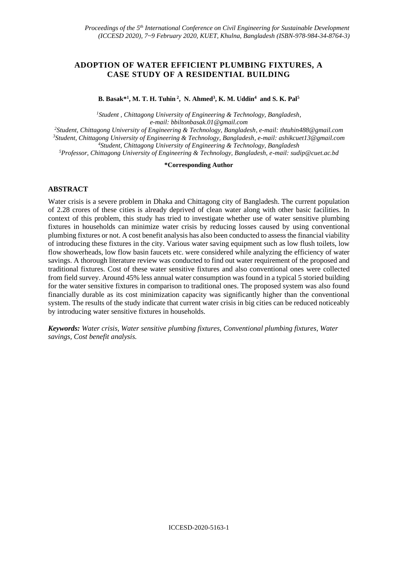# **ADOPTION OF WATER EFFICIENT PLUMBING FIXTURES, A CASE STUDY OF A RESIDENTIAL BUILDING**

**B. Basak\*<sup>1</sup> , M. T. H. Tuhin <sup>2</sup> , N. Ahmed<sup>3</sup> , K. M. Uddin<sup>4</sup> and S. K. Pal<sup>5</sup>**

*<sup>1</sup>Student , Chittagong University of Engineering & Technology, Bangladesh, e-mail: bbiltonbasak.01@gmail.com*

*<sup>2</sup>Student, Chittagong University of Engineering & Technology, Bangladesh, e-mail: [thtuhin488@gmail.com](mailto:thtuhin488@gmail.com)*

*<sup>3</sup>Student, Chittagong University of Engineering & Technology, Bangladesh, e-mail: [ashikcuet13@gmail.com](mailto:ashikcuet13@gmail.com) <sup>4</sup>Student, Chittagong University of Engineering & Technology, Bangladesh*

*<sup>5</sup>Professor, Chittagong University of Engineering & Technology, Bangladesh, e-mail: sudip@cuet.ac.bd*

#### **\*Corresponding Author**

### **ABSTRACT**

Water crisis is a severe problem in Dhaka and Chittagong city of Bangladesh. The current population of 2.28 crores of these cities is already deprived of clean water along with other basic facilities. In context of this problem, this study has tried to investigate whether use of water sensitive plumbing fixtures in households can minimize water crisis by reducing losses caused by using conventional plumbing fixtures or not. A cost benefit analysis has also been conducted to assess the financial viability of introducing these fixtures in the city. Various water saving equipment such as low flush toilets, low flow showerheads, low flow basin faucets etc. were considered while analyzing the efficiency of water savings. A thorough literature review was conducted to find out water requirement of the proposed and traditional fixtures. Cost of these water sensitive fixtures and also conventional ones were collected from field survey. Around 45% less annual water consumption was found in a typical 5 storied building for the water sensitive fixtures in comparison to traditional ones. The proposed system was also found financially durable as its cost minimization capacity was significantly higher than the conventional system. The results of the study indicate that current water crisis in big cities can be reduced noticeably by introducing water sensitive fixtures in households.

*Keywords: Water crisis, Water sensitive plumbing fixtures, Conventional plumbing fixtures, Water savings, Cost benefit analysis.*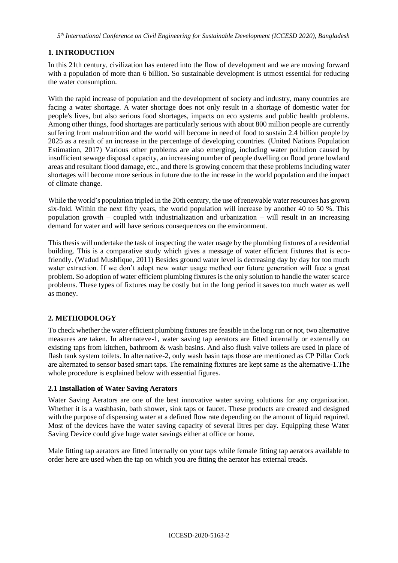# **1. INTRODUCTION**

In this 21th century, civilization has entered into the flow of development and we are moving forward with a population of more than 6 billion. So sustainable development is utmost essential for reducing the water consumption.

With the rapid increase of population and the development of society and industry, many countries are facing a water shortage. A water shortage does not only result in a shortage of domestic water for people's lives, but also serious food shortages, impacts on eco systems and public health problems. Among other things, food shortages are particularly serious with about 800 million people are currently suffering from malnutrition and the world will become in need of food to sustain 2.4 billion people by 2025 as a result of an increase in the percentage of developing countries. (United Nations Population Estimation, 2017) Various other problems are also emerging, including water pollution caused by insufficient sewage disposal capacity, an increasing number of people dwelling on flood prone lowland areas and resultant flood damage, etc., and there is growing concern that these problems including water shortages will become more serious in future due to the increase in the world population and the impact of climate change.

While the world's population tripled in the 20th century, the use of renewable water resources has grown six-fold. Within the next fifty years, the world population will increase by another 40 to 50 %. This population growth – coupled with industrialization and urbanization – will result in an increasing demand for water and will have serious consequences on the environment.

This thesis will undertake the task of inspecting the water usage by the plumbing fixtures of a residential building. This is a comparative study which gives a message of water efficient fixtures that is ecofriendly. (Wadud Mushfique, 2011) Besides ground water level is decreasing day by day for too much water extraction. If we don't adopt new water usage method our future generation will face a great problem. So adoption of water efficient plumbing fixtures is the only solution to handle the water scarce problems. These types of fixtures may be costly but in the long period it saves too much water as well as money.

# **2. METHODOLOGY**

To check whether the water efficient plumbing fixtures are feasible in the long run or not, two alternative measures are taken. In alternateve-1, water saving tap aerators are fitted internally or externally on existing taps from kitchen, bathroom & wash basins. And also flush valve toilets are used in place of flash tank system toilets. In alternative-2, only wash basin taps those are mentioned as CP Pillar Cock are alternated to sensor based smart taps. The remaining fixtures are kept same as the alternative-1.The whole procedure is explained below with essential figures.

# **2.1 Installation of Water Saving Aerators**

Water Saving Aerators are one of the best innovative water saving solutions for any organization. Whether it is a washbasin, bath shower, sink taps or faucet. These products are created and designed with the purpose of dispensing water at a defined flow rate depending on the amount of liquid required. Most of the devices have the water saving capacity of several litres per day. Equipping these Water Saving Device could give huge water savings either at office or home.

Male fitting tap aerators are fitted internally on your taps while female fitting tap aerators available to order here are used when the tap on which you are fitting the aerator has external treads.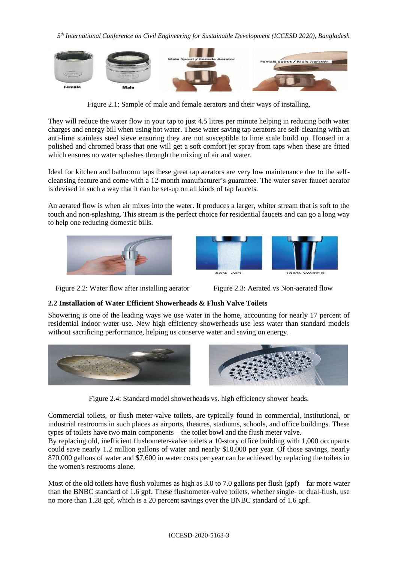

Figure 2.1: Sample of male and female aerators and their ways of installing.

They will reduce the water flow in your tap to just 4.5 litres per minute helping in reducing both water charges and energy bill when using hot water. These water saving tap aerators are self-cleaning with an anti-lime stainless steel sieve ensuring they are not susceptible to lime scale build up. Housed in a polished and chromed brass that one will get a soft comfort jet spray from taps when these are fitted which ensures no water splashes through the mixing of air and water.

Ideal for kitchen and bathroom taps these great tap aerators are very low maintenance due to the selfcleansing feature and come with a 12-month manufacturer's guarantee. The water saver faucet aerator is devised in such a way that it can be set-up on all kinds of tap faucets.

An aerated flow is when air mixes into the water. It produces a larger, whiter stream that is soft to the touch and non-splashing. This stream is the perfect choice for residential faucets and can go a long way to help one reducing domestic bills.





Figure 2.2: Water flow after installing aerator Figure 2.3: Aerated vs Non-aerated flow

# **2.2 Installation of Water Efficient Showerheads & Flush Valve Toilets**

Showering is one of the leading ways we use water in the home, accounting for nearly 17 percent of residential indoor water use. New high efficiency showerheads use less water than standard models without sacrificing performance, helping us conserve water and saving on energy.



Figure 2.4: Standard model showerheads vs. high efficiency shower heads.

Commercial toilets, or flush meter-valve toilets, are typically found in commercial, institutional, or industrial restrooms in such places as airports, theatres, stadiums, schools, and office buildings. These types of toilets have two main components—the toilet bowl and the flush meter valve.

By replacing old, inefficient flushometer-valve toilets a 10-story office building with 1,000 occupants could save nearly 1.2 million gallons of water and nearly \$10,000 per year. Of those savings, nearly 870,000 gallons of water and \$7,600 in water costs per year can be achieved by replacing the toilets in the women's restrooms alone.

Most of the old toilets have flush volumes as high as 3.0 to 7.0 gallons per flush (gpf)—far more water than the BNBC standard of 1.6 gpf. These flushometer-valve toilets, whether single- or dual-flush, use no more than 1.28 gpf, which is a 20 percent savings over the BNBC standard of 1.6 gpf.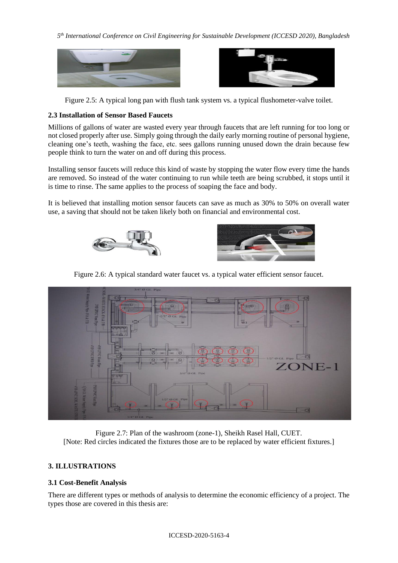



Figure 2.5: A typical long pan with flush tank system vs. a typical flushometer-valve toilet.

# **2.3 Installation of Sensor Based Faucets**

Millions of gallons of water are wasted every year through faucets that are left running for too long or not closed properly after use. Simply going through the daily early morning routine of personal hygiene, cleaning one's teeth, washing the face, etc. sees gallons running unused down the drain because few people think to turn the water on and off during this process.

Installing sensor faucets will reduce this kind of waste by stopping the water flow every time the hands are removed. So instead of the water continuing to run while teeth are being scrubbed, it stops until it is time to rinse. The same applies to the process of soaping the face and body.

It is believed that installing motion sensor faucets can save as much as 30% to 50% on overall water use, a saving that should not be taken likely both on financial and environmental cost.





Figure 2.6: A typical standard water faucet vs. a typical water efficient sensor faucet.



Figure 2.7: Plan of the washroom (zone-1), Sheikh Rasel Hall, CUET. [Note: Red circles indicated the fixtures those are to be replaced by water efficient fixtures.]

# **3. ILLUSTRATIONS**

# **3.1 Cost-Benefit Analysis**

There are different types or methods of analysis to determine the economic efficiency of a project. The types those are covered in this thesis are: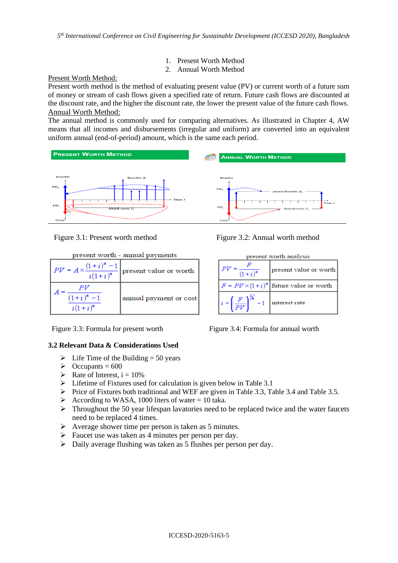- 1. Present Worth Method
- 2. Annual Worth Method

### Present Worth Method:

Present worth method is the method of evaluating present value (PV) or current worth of a future sum of money or stream of cash flows given a specified rate of return. Future cash flows are discounted at the discount rate, and the higher the discount rate, the lower the present value of the future cash flows. Annual Worth Method:

The annual method is commonly used for comparing alternatives. As illustrated in Chapter 4, AW means that all incomes and disbursements (irregular and uniform) are converted into an equivalent uniform annual (end-of-period) amount, which is the same each period.



| present worth - annual payments   |                                                                     |  |  |
|-----------------------------------|---------------------------------------------------------------------|--|--|
|                                   | $PV = A \times \frac{(1+i)^n - 1}{i(1+i)^n}$ present value or worth |  |  |
| PV<br>$(1+i)^n - 1$<br>$i(1+i)^n$ | annual payment or cost                                              |  |  |

Figure 3.3: Formula for present worth Figure 3.4: Formula for annual worth

### **3.2 Relevant Data & Considerations Used**

- $\triangleright$  Life Time of the Building = 50 years
- $\blacktriangleright$  Occupants = 600
- $\triangleright$  Rate of Interest, i = 10%
- ➢ Lifetime of Fixtures used for calculation is given below in Table 3.1
- $\triangleright$  Price of Fixtures both traditional and WEF are given in Table 3.3, Table 3.4 and Table 3.5.
- $\triangleright$  According to WASA, 1000 liters of water = 10 taka.
- $\triangleright$  Throughout the 50 year lifespan lavatories need to be replaced twice and the water faucets need to be replaced 4 times.
- $\triangleright$  Average shower time per person is taken as 5 minutes.
- ➢ Faucet use was taken as 4 minutes per person per day.
- ➢ Daily average flushing was taken as 5 flushes per person per day.



| present worth analysis                                                                                  |                                                   |  |  |
|---------------------------------------------------------------------------------------------------------|---------------------------------------------------|--|--|
| $\frac{F}{(1+i)^n}$                                                                                     | present value or worth                            |  |  |
|                                                                                                         | $F = PV \times (1 + i)^{n}$ future value or worth |  |  |
| $\label{eq:1} \begin{aligned} \mathsf{I}_i = \left(\frac{F}{PV}\right)^{\frac{1}{N}} - 1 \end{aligned}$ | interest rate                                     |  |  |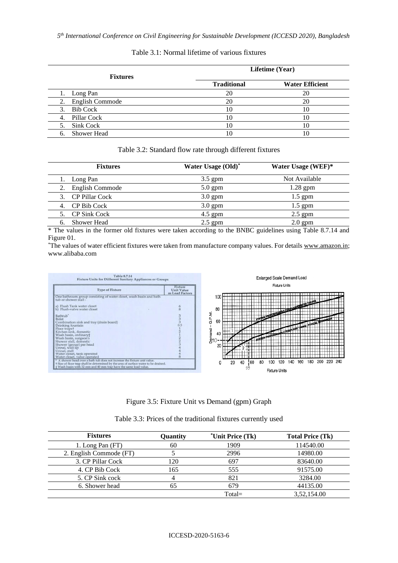| <b>Fixtures</b>          |                    | Lifetime (Year)        |
|--------------------------|--------------------|------------------------|
|                          | <b>Traditional</b> | <b>Water Efficient</b> |
| 1. Long Pan              | 20                 | 20                     |
| 2. English Commode       | 20                 | 20                     |
| <b>Bib Cock</b><br>3.    | 10                 | 10                     |
| Pillar Cock<br>4.        | 10                 | 10                     |
| Sink Cock<br>5.          | 10                 | 10                     |
| <b>Shower Head</b><br>6. |                    | 10                     |

#### Table 3.1: Normal lifetime of various fixtures

### Table 3.2: Standard flow rate through different fixtures

| <b>Fixtures</b>          | Water Usage (Old)* | Water Usage (WEF)* |
|--------------------------|--------------------|--------------------|
| 1. Long Pan              | $3.5$ gpm          | Not Available      |
| 2. English Commode       | $5.0$ gpm          | $1.28$ gpm         |
| 3. CP Pillar Cock        | $3.0$ gpm          | $1.5$ gpm          |
| 4. CP Bib Cock           | $3.0$ gpm          | $1.5$ gpm          |
| 5. CP Sink Cock          | $4.5$ gpm          | $2.5$ gpm          |
| <b>Shower Head</b><br>6. | $2.5$ gpm          | $2.0$ gpm          |

\* The values in the former old fixtures were taken according to the BNBC guidelines using Table 8.7.14 and Figure 01.

\*The values of water efficient fixtures were taken from manufacture company values. For details [www.amazon.in;](http://www.amazon.in/) www.alibaba.com



Figure 3.5: Fixture Unit vs Demand (gpm) Graph

| Table 3.3: Prices of the traditional fixtures currently used |  |
|--------------------------------------------------------------|--|
|--------------------------------------------------------------|--|

| <b>Fixtures</b>         | Quantity | *Unit Price (Tk) | <b>Total Price (Tk)</b> |
|-------------------------|----------|------------------|-------------------------|
| 1. Long Pan (FT)        | 60       | 1909             | 114540.00               |
| 2. English Commode (FT) |          | 2996             | 14980.00                |
| 3. CP Pillar Cock       | 120      | 697              | 83640.00                |
| 4. CP Bib Cock          | 165      | 555              | 91575.00                |
| 5. CP Sink cock         |          | 821              | 3284.00                 |
| 6. Shower head          |          | 679              | 44135.00                |
|                         |          | $Total =$        | 3.52.154.00             |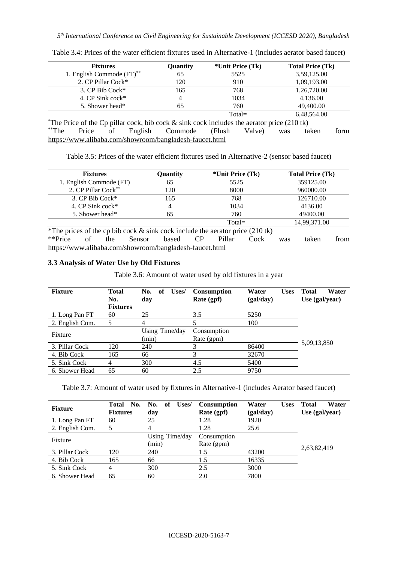| <b>Fixtures</b>                                                                                       | Quantity | *Unit Price (Tk)  | <b>Total Price (Tk)</b> |      |
|-------------------------------------------------------------------------------------------------------|----------|-------------------|-------------------------|------|
| 1. English Commode (FT)**                                                                             | 65       | 5525              | 3,59,125.00             |      |
| 2. CP Pillar Cock*                                                                                    | 120      | 910               | 1,09,193.00             |      |
| 3. CP Bib Cock*                                                                                       | 165      | 768               | 1,26,720.00             |      |
| 4. CP Sink cock*                                                                                      | 4        | 1034              | 4,136.00                |      |
| 5. Shower head*                                                                                       | 65       | 760               | 49,400.00               |      |
|                                                                                                       |          | $Total =$         | 6,48,564.00             |      |
| <i>*</i> The Price of the Cp pillar cock, bib cock $\&$ sink cock includes the aerator price (210 tk) |          |                   |                         |      |
| $*$ The<br>English<br>Price<br>οf                                                                     | Commode  | Valve)<br>(Flush) | taken<br>was            | form |

Table 3.4: Prices of the water efficient fixtures used in Alternative-1 (includes aerator based faucet)

<https://www.alibaba.com/showroom/bangladesh-faucet.html>

Table 3.5: Prices of the water efficient fixtures used in Alternative-2 (sensor based faucet)

| <b>Fixtures</b>         | Quantity | *Unit Price (Tk) | <b>Total Price (Tk)</b> |
|-------------------------|----------|------------------|-------------------------|
| 1. English Commode (FT) | 65       | 5525             | 359125.00               |
| 2. CP Pillar Cock**     | 120      | 8000             | 960000.00               |
| 3. $CP$ Bib Cock*       | 165      | 768              | 126710.00               |
| 4. CP Sink cock*        |          | 1034             | 4136.00                 |
| 5. Shower head*         | רמ       | 760              | 49400.00                |
|                         |          | $Total =$        | 14,99,371.00            |

\*The prices of the cp bib cock  $\&$  sink cock include the aerator price (210 tk) \*\*Price of the Sensor based CP Pillar Cock was taken from <https://www.alibaba.com/showroom/bangladesh-faucet.html>

#### **3.3 Analysis of Water Use by Old Fixtures**

Table 3.6: Amount of water used by old fixtures in a year

| <b>Fixture</b>  | <b>Total</b><br>No. | of<br>No.<br>Uses/<br>day | <b>Consumption</b><br>Rate (gpf) | Water<br><b>Uses</b><br>(gal/day) | Water<br>Total<br>Use $(gal/year)$ |
|-----------------|---------------------|---------------------------|----------------------------------|-----------------------------------|------------------------------------|
|                 | <b>Fixtures</b>     |                           |                                  |                                   |                                    |
| 1. Long Pan FT  | 60                  | 25                        | 3.5                              | 5250                              |                                    |
| 2. English Com. |                     | 4                         |                                  | 100                               |                                    |
| Fixture         |                     | Using Time/day            | Consumption                      |                                   |                                    |
|                 |                     | (min)                     | Rate (gpm)                       |                                   |                                    |
| 3. Pillar Cock  | 120                 | 240                       | 3                                | 86400                             | 5,09,13,850                        |
| 4. Bib Cock     | 165                 | 66                        | 3                                | 32670                             |                                    |
| 5. Sink Cock    | 4                   | 300                       | 4.5                              | 5400                              |                                    |
| 6. Shower Head  | 65                  | 60                        | 2.5                              | 9750                              |                                    |

Table 3.7: Amount of water used by fixtures in Alternative-1 (includes Aerator based faucet)

| <b>Fixture</b>  | Total<br>No.<br><b>Fixtures</b> | of<br>Uses/<br>No.<br>day | <b>Consumption</b><br>Rate (gpf) | Water<br>(gal/day) | <b>Uses</b> | Water<br><b>Total</b><br>Use (gal/year) |
|-----------------|---------------------------------|---------------------------|----------------------------------|--------------------|-------------|-----------------------------------------|
| 1. Long Pan FT  | 60                              | 25                        | 1.28                             | 1920               |             |                                         |
| 2. English Com. |                                 | 4                         | 1.28                             | 25.6               |             |                                         |
| Fixture         |                                 | Using Time/day            | Consumption                      |                    |             |                                         |
|                 |                                 | (min)                     | Rate (gpm)                       |                    |             |                                         |
| 3. Pillar Cock  | 120                             | 240                       | 1.5                              | 43200              |             | 2,63,82,419                             |
| 4. Bib Cock     | 165                             | 66                        | 1.5                              | 16335              |             |                                         |
| 5. Sink Cock    |                                 | 300                       | 2.5                              | 3000               |             |                                         |
| 6. Shower Head  | 65                              | 60                        | 2.0                              | 7800               |             |                                         |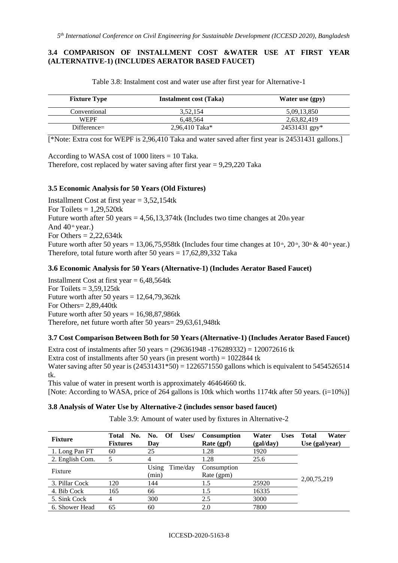### **3.4 COMPARISON OF INSTALLMENT COST &WATER USE AT FIRST YEAR (ALTERNATIVE-1) (INCLUDES AERATOR BASED FAUCET)**

| <b>Fixture Type</b> | Instalment cost (Taka) | Water use (gpy) |
|---------------------|------------------------|-----------------|
| Conventional        | 3,52,154               | 5,09,13,850     |
| <b>WEPF</b>         | 6.48.564               | 2,63,82,419     |
| $Different =$       | $2.96.410$ Taka*       | $24531431$ gpy* |

Table 3.8: Instalment cost and water use after first year for Alternative-1

[\*Note: Extra cost for WEPF is 2,96,410 Taka and water saved after first year is 24531431 gallons.]

According to WASA cost of 1000 liters = 10 Taka.

Therefore, cost replaced by water saving after first year  $= 9,29,220$  Taka

### **3.5 Economic Analysis for 50 Years (Old Fixtures)**

Installment Cost at first year  $= 3,52,154$ tk For Toilets  $= 1,29,520$ tk Future worth after 50 years  $= 4,56,13,374$ tk (Includes two time changes at 20th year And  $40^{\text{th}}$  year.) For Others  $= 2,22,634$ tk Future worth after 50 years = 13,06,75,958tk (Includes four time changes at  $10^{\text{th}}$ ,  $20^{\text{th}}$ ,  $30^{\text{th}}$  &  $40^{\text{th}}$  year.) Therefore, total future worth after 50 years  $= 17,62,89,332$  Taka

### **3.6 Economic Analysis for 50 Years (Alternative-1) (Includes Aerator Based Faucet)**

Installment Cost at first year  $= 6,48,564$ tk For Toilets  $= 3,59,125$ tk Future worth after 50 years =  $12,64,79,362$ tk For Others= 2,89,440tk Future worth after 50 years =  $16,98,87,986$ tk Therefore, net future worth after 50 years= 29,63,61,948tk

# **3.7 Cost Comparison Between Both for 50 Years (Alternative-1) (Includes Aerator Based Faucet)**

Extra cost of instalments after 50 years =  $(296361948 - 176289332) = 120072616$  tk Extra cost of installments after 50 years (in present worth) =  $1022844$  tk Water saving after 50 year is  $(24531431*50) = 1226571550$  gallons which is equivalent to 5454526514 tk. This value of water in present worth is approximately 46464660 tk.

[Note: According to WASA, price of 264 gallons is 10tk which worths 1174tk after 50 years.  $(i=10\%)$ ]

### **3.8 Analysis of Water Use by Alternative-2 (includes sensor based faucet)**

Table 3.9: Amount of water used by fixtures in Alternative-2

| <b>Fixture</b>  | No.<br>Total<br><b>Fixtures</b> | Uses/<br>No.<br>Of<br>Day  | <b>Consumption</b><br>Rate (gpf) | <b>Uses</b><br>Water<br>(gal/day) | Water<br><b>Total</b><br>Use $(gal/year)$ |
|-----------------|---------------------------------|----------------------------|----------------------------------|-----------------------------------|-------------------------------------------|
| 1. Long Pan FT  | 60                              | 25                         | 1.28                             | 1920                              |                                           |
| 2. English Com. |                                 | 4                          | 1.28                             | 25.6                              |                                           |
| Fixture         |                                 | Using<br>Time/day<br>(min) | Consumption<br>Rate (gpm)        |                                   |                                           |
| 3. Pillar Cock  | 120                             | 144                        | 1.5                              | 25920                             | 2,00,75,219                               |
| 4. Bib Cock     | 165                             | 66                         | 1.5                              | 16335                             |                                           |
| 5. Sink Cock    | 4                               | 300                        | 2.5                              | 3000                              |                                           |
| 6. Shower Head  | 65                              | 60                         | 2.0                              | 7800                              |                                           |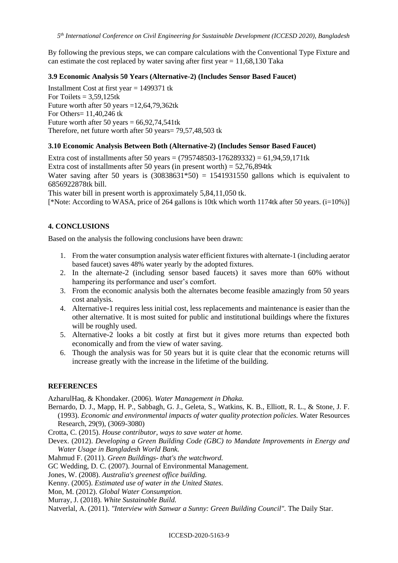By following the previous steps, we can compare calculations with the Conventional Type Fixture and can estimate the cost replaced by water saving after first year  $= 11,68,130$  Taka

### **3.9 Economic Analysis 50 Years (Alternative-2) (Includes Sensor Based Faucet)**

Installment Cost at first year = 1499371 tk For Toilets  $= 3,59,125$ tk Future worth after 50 years  $=12,64,79,362$ tk For Others= 11,40,246 tk Future worth after 50 years =  $66,92,74,541$ tk Therefore, net future worth after 50 years= 79,57,48,503 tk

### **3.10 Economic Analysis Between Both (Alternative-2) (Includes Sensor Based Faucet)**

Extra cost of installments after 50 years =  $(795748503 - 176289332) = 61,94,59,171$ tk Extra cost of installments after 50 years (in present worth) =  $52,76,894$ tk Water saving after 50 years is  $(30838631*50) = 1541931550$  gallons which is equivalent to 6856922878tk bill.

This water bill in present worth is approximately 5,84,11,050 tk.

[\*Note: According to WASA, price of 264 gallons is 10tk which worth 1174tk after 50 years. (i=10%)]

# **4. CONCLUSIONS**

Based on the analysis the following conclusions have been drawn:

- 1. From the water consumption analysis water efficient fixtures with alternate-1 (including aerator based faucet) saves 48% water yearly by the adopted fixtures.
- 2. In the alternate-2 (including sensor based faucets) it saves more than 60% without hampering its performance and user's comfort.
- 3. From the economic analysis both the alternates become feasible amazingly from 50 years cost analysis.
- 4. Alternative-1 requires less initial cost, less replacements and maintenance is easier than the other alternative. It is most suited for public and institutional buildings where the fixtures will be roughly used.
- 5. Alternative-2 looks a bit costly at first but it gives more returns than expected both economically and from the view of water saving.
- 6. Though the analysis was for 50 years but it is quite clear that the economic returns will increase greatly with the increase in the lifetime of the building.

### **REFERENCES**

AzharulHaq, & Khondaker. (2006). *Water Management in Dhaka.* 

Bernardo, D. J., Mapp, H. P., Sabbagh, G. J., Geleta, S., Watkins, K. B., Elliott, R. L., & Stone, J. F. (1993). *Economic and environmental impacts of water quality protection policies.* Water Resources Research, 29(9), (3069-3080)

Crotta, C. (2015). *House contributor, ways to save water at home.*

Devex. (2012). *Developing a Green Building Code (GBC) to Mandate Improvements in Energy and Water Usage in Bangladesh World Bank.* 

Mahmud F. (2011). *Green Buildings- that's the watchword.*

GC Wedding, D. C. (2007). Journal of Environmental Management.

Jones, W. (2008). *Australia's greenest office building.*

Kenny. (2005). *Estimated use of water in the United States.* 

Mon, M. (2012). *Global Water Consumption.* 

Murray, J. (2018). *White Sustainable Build.*

Natverlal, A. (2011). *"Interview with Sanwar a Sunny: Green Building Council".* The Daily Star.